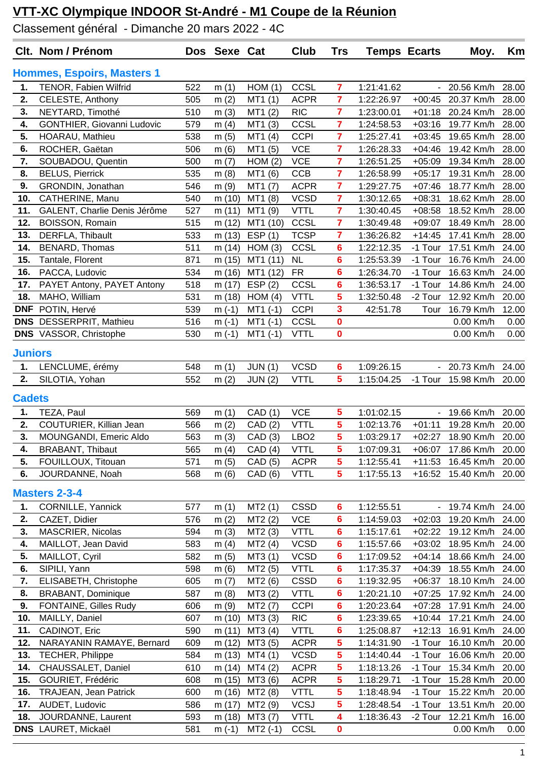## **VTT-XC Olympique INDOOR St-André - M1 Coupe de la Réunion**

Classement général - Dimanche 20 mars 2022 - 4C

|                | Clt. Nom / Prénom                 |     | Dos Sexe Cat |                | Club             | <b>Trs</b>      | <b>Temps Ecarts</b> |                  | Moy.                    | Km    |
|----------------|-----------------------------------|-----|--------------|----------------|------------------|-----------------|---------------------|------------------|-------------------------|-------|
|                | <b>Hommes, Espoirs, Masters 1</b> |     |              |                |                  |                 |                     |                  |                         |       |
| 1.             | TENOR, Fabien Wilfrid             | 522 | m(1)         | HOM(1)         | CCSL             | 7               | 1:21:41.62          |                  | 20.56 Km/h              | 28.00 |
| 2.             | CELESTE, Anthony                  | 505 | m(2)         | MT1(1)         | <b>ACPR</b>      | 7               | 1:22:26.97          | $+00:45$         | 20.37 Km/h              | 28.00 |
| 3.             | NEYTARD, Timothé                  | 510 | m(3)         | MT1(2)         | <b>RIC</b>       | $\overline{7}$  | 1:23:00.01          | $+01:18$         | 20.24 Km/h              | 28.00 |
| 4.             | GONTHIER, Giovanni Ludovic        | 579 | m $(4)$      | MT1 (3)        | CCSL             | 7               | 1:24:58.53          | $+03:16$         | 19.77 Km/h              | 28.00 |
| 5.             | HOARAU, Mathieu                   | 538 | m(5)         | MT1(4)         | <b>CCPI</b>      | 7               | 1:25:27.41          | $+03:45$         | 19.65 Km/h              | 28.00 |
| 6.             | ROCHER, Gaëtan                    | 506 | m(6)         | MT1 (5)        | <b>VCE</b>       | 7               | 1:26:28.33          | $+04:46$         | 19.42 Km/h              | 28.00 |
| 7.             | SOUBADOU, Quentin                 | 500 | m(7)         | HOM(2)         | <b>VCE</b>       | $\overline{7}$  | 1:26:51.25          | $+05:09$         | 19.34 Km/h              | 28.00 |
| 8.             | <b>BELUS, Pierrick</b>            | 535 | m(8)         | MT1 (6)        | CCB              | $\overline{7}$  | 1:26:58.99          | $+05:17$         | 19.31 Km/h              | 28.00 |
| 9.             | GRONDIN, Jonathan                 | 546 | m(9)         | MT1 (7)        | <b>ACPR</b>      | 7               | 1:29:27.75          | $+07:46$         | 18.77 Km/h              | 28.00 |
| 10.            | CATHERINE, Manu                   | 540 | m (10)       | MT1 (8)        | <b>VCSD</b>      | $\overline{7}$  | 1:30:12.65          | $+08:31$         | 18.62 Km/h              | 28.00 |
| 11.            | GALENT, Charlie Denis Jérôme      | 527 | m(11)        | MT1 (9)        | <b>VTTL</b>      | $\overline{7}$  | 1:30:40.45          | $+08:58$         | 18.52 Km/h              | 28.00 |
| 12.            | <b>BOISSON, Romain</b>            | 515 | m (12)       | MT1 (10)       | CCSL             | $\overline{7}$  | 1:30:49.48          | $+09:07$         | 18.49 Km/h              | 28.00 |
| 13.            | DERFLA, Thibault                  | 533 | m(13)        | ESP(1)         | <b>TCSP</b>      | 7               | 1:36:26.82          | $+14:45$         | 17.41 Km/h              | 28.00 |
| 14.            | BENARD, Thomas                    | 511 | m $(14)$     | HOM(3)         | CCSL             | 6               | 1:22:12.35          | -1 Tour          | 17.51 Km/h              | 24.00 |
| 15.            | Tantale, Florent                  | 871 | m (15)       | MT1 (11)       | <b>NL</b>        | 6               | 1:25:53.39          | -1 Tour          | 16.76 Km/h              | 24.00 |
| 16.            | PACCA, Ludovic                    | 534 | m (16)       | MT1 (12)       | <b>FR</b>        | 6               | 1:26:34.70          | -1 Tour          | 16.63 Km/h              | 24.00 |
| 17.            | PAYET Antony, PAYET Antony        | 518 | m(17)        | ESP(2)         | CCSL             | $6\phantom{1}6$ | 1:36:53.17          | -1 Tour          | 14.86 Km/h              | 24.00 |
| 18.            | MAHO, William                     | 531 | m(18)        | HOM(4)         | <b>VTTL</b>      | 5               | 1:32:50.48          | -2 Tour          | 12.92 Km/h              | 20.00 |
| <b>DNF</b>     | POTIN, Hervé                      | 539 | $m(-1)$      | $MT1$ (-1)     | <b>CCPI</b>      | 3               | 42:51.78            | Tour             | 16.79 Km/h              | 12.00 |
|                | DNS DESSERPRIT, Mathieu           | 516 | $m(-1)$      | $MT1$ (-1)     | CCSL             | 0               |                     |                  | 0.00 Km/h               | 0.00  |
|                | <b>DNS</b> VASSOR, Christophe     | 530 | $m(-1)$      | $MT1(-1)$      | <b>VTTL</b>      | $\bf{0}$        |                     |                  | 0.00 Km/h               | 0.00  |
| <b>Juniors</b> |                                   |     |              |                |                  |                 |                     |                  |                         |       |
| 1.             | LENCLUME, érémy                   | 548 | m(1)         | <b>JUN (1)</b> | <b>VCSD</b>      | 6               | 1:09:26.15          |                  | - 20.73 Km/h            | 24.00 |
| 2.             | SILOTIA, Yohan                    | 552 | m $(2)$      | <b>JUN (2)</b> | <b>VTTL</b>      | 5               | 1:15:04.25          |                  | -1 Tour 15.98 Km/h      | 20.00 |
|                |                                   |     |              |                |                  |                 |                     |                  |                         |       |
| <b>Cadets</b>  |                                   |     |              |                |                  |                 |                     |                  |                         |       |
| 1.             | TEZA, Paul                        | 569 | m(1)         | CAD (1)        | <b>VCE</b>       | 5               | 1:01:02.15          |                  | 19.66 Km/h              | 20.00 |
| 2.             | COUTURIER, Killian Jean           | 566 | m(2)         | CAD(2)         | <b>VTTL</b>      | 5               | 1:02:13.76          | $+01:11$         | 19.28 Km/h              | 20.00 |
| 3.             | MOUNGANDI, Emeric Aldo            | 563 | m(3)         | CAD(3)         | LBO <sub>2</sub> | 5               | 1:03:29.17          |                  | +02:27 18.90 Km/h 20.00 |       |
| 4.             | <b>BRABANT, Thibaut</b>           | 565 | m(4)         | CAD (4) VTTL   |                  | 5 <sup>5</sup>  | 1:07:09.31          |                  | +06:07 17.86 Km/h 20.00 |       |
| 5.             | FOUILLOUX, Titouan                | 571 | m(5)         | CAD (5)        | <b>ACPR</b>      | 5               | 1:12:55.41          | $+11:53$         | 16.45 Km/h              | 20.00 |
| 6.             | JOURDANNE, Noah                   | 568 | m(6)         | CAD(6)         | <b>VTTL</b>      | 5               | 1:17:55.13          | $+16:52$         | 15.40 Km/h              | 20.00 |
|                | <b>Masters 2-3-4</b>              |     |              |                |                  |                 |                     |                  |                         |       |
| 1.             | <b>CORNILLE, Yannick</b>          | 577 | m(1)         | MT2(1)         | <b>CSSD</b>      | 6               | 1:12:55.51          | $\omega_{\rm c}$ | 19.74 Km/h 24.00        |       |
| 2.             | CAZET, Didier                     | 576 | m(2)         | MT2(2)         | <b>VCE</b>       | 6               | 1:14:59.03          | $+02:03$         | 19.20 Km/h              | 24.00 |
| 3.             | MASCRIER, Nicolas                 | 594 | m(3)         | MT2(3)         | <b>VTTL</b>      | 6               | 1:15:17.61          | $+02:22$         | 19.12 Km/h              | 24.00 |
| 4.             | MAILLOT, Jean David               | 583 | m $(4)$      | MT2(4)         | <b>VCSD</b>      | 6               | 1:15:57.66          | $+03:02$         | 18.95 Km/h              | 24.00 |
| 5.             | MAILLOT, Cyril                    | 582 | m(5)         | MT3 (1)        | <b>VCSD</b>      | 6               | 1:17:09.52          | $+04:14$         | 18.66 Km/h              | 24.00 |
| 6.             | SIPILI, Yann                      | 598 | m(6)         | MT2 (5)        | <b>VTTL</b>      | 6               | 1:17:35.37          | $+04:39$         | 18.55 Km/h              | 24.00 |
| 7.             | ELISABETH, Christophe             | 605 | m(7)         | MT2 (6)        | <b>CSSD</b>      | 6               | 1:19:32.95          | $+06:37$         | 18.10 Km/h              | 24.00 |
| 8.             | <b>BRABANT, Dominique</b>         | 587 | m(8)         | MT3 (2)        | <b>VTTL</b>      | 6               | 1:20:21.10          | $+07:25$         | 17.92 Km/h              | 24.00 |
| 9.             | <b>FONTAINE, Gilles Rudy</b>      | 606 | m(9)         | MT2 (7)        | <b>CCPI</b>      | 6               | 1:20:23.64          | $+07:28$         | 17.91 Km/h              | 24.00 |
| 10.            | MAILLY, Daniel                    | 607 | m (10)       | MT3 (3)        | <b>RIC</b>       | 6               | 1:23:39.65          | $+10:44$         | 17.21 Km/h              | 24.00 |
| 11.            | CADINOT, Eric                     | 590 | m(11)        | MT3 (4)        | <b>VTTL</b>      | 6               | 1:25:08.87          | $+12:13$         | 16.91 Km/h              | 24.00 |
| 12.            | NARAYANIN RAMAYE, Bernard         | 609 | m (12)       | MT3 (5)        | <b>ACPR</b>      | 5               | 1:14:31.90          | -1 Tour          | 16.10 Km/h              | 20.00 |
| 13.            | <b>TECHER, Philippe</b>           | 584 | m (13)       | MT4(1)         | <b>VCSD</b>      | 5               | 1:14:40.44          | -1 Tour          | 16.06 Km/h              | 20.00 |
| 14.            | CHAUSSALET, Daniel                | 610 | m (14)       | MT4(2)         | <b>ACPR</b>      | 5               | 1:18:13.26          | -1 Tour          | 15.34 Km/h              | 20.00 |
| 15.            | GOURIET, Frédéric                 | 608 | m (15)       | MT3 (6)        | <b>ACPR</b>      | 5               | 1:18:29.71          | -1 Tour          | 15.28 Km/h              | 20.00 |
| 16.            | <b>TRAJEAN, Jean Patrick</b>      | 600 | m (16)       | MT2 (8)        | <b>VTTL</b>      | 5               | 1:18:48.94          | -1 Tour          | 15.22 Km/h              | 20.00 |
| 17.            | AUDET, Ludovic                    | 586 | m (17)       | MT2 (9)        | <b>VCSJ</b>      | 5               | 1:28:48.54          | -1 Tour          | 13.51 Km/h              | 20.00 |
| 18.            | JOURDANNE, Laurent                | 593 | m (18)       | MT3 (7)        | <b>VTTL</b>      | 4               | 1:18:36.43          | -2 Tour          | 12.21 Km/h              | 16.00 |
|                | <b>DNS</b> LAURET, Mickaël        | 581 | $m(-1)$      | $MT2(-1)$      | CCSL             | 0               |                     |                  | 0.00 Km/h               | 0.00  |
|                |                                   |     |              |                |                  |                 |                     |                  |                         |       |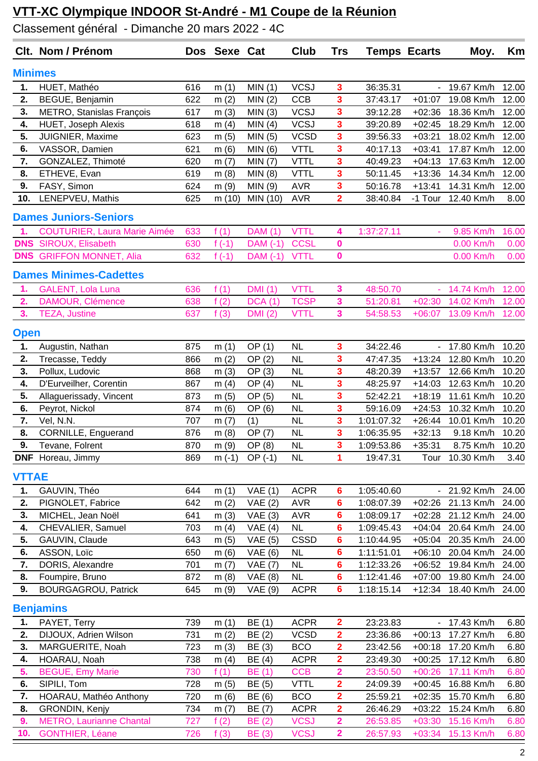## **VTT-XC Olympique INDOOR St-André - M1 Coupe de la Réunion**

Classement général - Dimanche 20 mars 2022 - 4C

|                | Clt. Nom / Prénom                      |            | Dos Sexe Cat     |                                  | Club                                | <b>Trs</b>              | <b>Temps Ecarts</b>      |                          | Moy.                     | Km             |
|----------------|----------------------------------------|------------|------------------|----------------------------------|-------------------------------------|-------------------------|--------------------------|--------------------------|--------------------------|----------------|
| <b>Minimes</b> |                                        |            |                  |                                  |                                     |                         |                          |                          |                          |                |
| 1.             | HUET, Mathéo                           | 616        | m(1)             | MIN(1)                           | <b>VCSJ</b>                         | $\overline{\mathbf{3}}$ | 36:35.31                 |                          | 19.67 Km/h               | 12.00          |
| 2.             | BEGUE, Benjamin                        | 622        | m(2)             | MIN(2)                           | <b>CCB</b>                          | 3                       | 37:43.17                 | $+01:07$                 | 19.08 Km/h               | 12.00          |
| 3.             | METRO, Stanislas François              | 617        | m(3)             | MIN(3)                           | <b>VCSJ</b>                         | 3                       | 39:12.28                 | $+02:36$                 | 18.36 Km/h               | 12.00          |
| 4.             | HUET, Joseph Alexis                    | 618        | m $(4)$          | MIN(4)                           | <b>VCSJ</b>                         | 3                       | 39:20.89                 | $+02:45$                 | 18.29 Km/h               | 12.00          |
| 5.             | JUIGNIER, Maxime                       | 623        | m(5)             | MIN(5)                           | <b>VCSD</b>                         | $\overline{\mathbf{3}}$ | 39:56.33                 | $+03:21$                 | 18.02 Km/h               | 12.00          |
| 6.             | VASSOR, Damien                         | 621        | m(6)             | MIN(6)                           | <b>VTTL</b>                         | 3                       | 40:17.13                 | $+03:41$                 | 17.87 Km/h               | 12.00          |
| 7.             | GONZALEZ, Thimoté                      | 620        | m(7)             | MIN (7)                          | <b>VTTL</b>                         | 3                       | 40:49.23                 | $+04:13$                 | 17.63 Km/h               | 12.00          |
| 8.             | ETHEVE, Evan                           | 619        | m(8)             | MIN(8)                           | <b>VTTL</b>                         | 3                       | 50:11.45                 | $+13:36$                 | 14.34 Km/h               | 12.00          |
| 9.             | FASY, Simon                            | 624        | m(9)             | MIN(9)                           | <b>AVR</b>                          | 3                       | 50:16.78                 | $+13:41$                 | 14.31 Km/h               | 12.00          |
| 10.            | LENEPVEU, Mathis                       | 625        | m(10)            | MIN (10)                         | <b>AVR</b>                          | $\overline{\mathbf{2}}$ | 38:40.84                 | -1 Tour                  | 12.40 Km/h               | 8.00           |
|                | <b>Dames Juniors-Seniors</b>           |            |                  |                                  |                                     |                         |                          |                          |                          |                |
| $\mathbf{1}$   | <b>COUTURIER, Laura Marie Aimée</b>    | 633        | f(1)             | <b>DAM</b> (1)                   | <b>VTTL</b>                         | 4                       | 1:37:27.11               | ä,                       | 9.85 Km/h                | 16.00          |
| <b>DNS</b>     | <b>SIROUX, Elisabeth</b>               | 630        | f $(-1)$         | DAM (-1)                         | <b>CCSL</b>                         | 0                       |                          |                          | 0.00 Km/h                | 0.00           |
| <b>DNS</b>     | <b>GRIFFON MONNET, Alia</b>            | 632        | f $(-1)$         | DAM (-1)                         | <b>VTTL</b>                         | $\mathbf 0$             |                          |                          | 0.00 Km/h                | 0.00           |
|                | <b>Dames Minimes-Cadettes</b>          |            |                  |                                  |                                     |                         |                          |                          |                          |                |
| 1.             | <b>GALENT, Lola Luna</b>               | 636        | f(1)             | DMI(1)                           | <b>VTTL</b>                         | 3                       | 48:50.70                 |                          | 14.74 Km/h               | 12.00          |
| 2.             | DAMOUR, Clémence                       | 638        | f(2)             | <b>DCA</b> (1)                   | <b>TCSP</b>                         | 3                       | 51:20.81                 | $+02:30$                 | 14.02 Km/h               | 12.00          |
| 3.             | <b>TEZA, Justine</b>                   | 637        | f(3)             | <b>DMI</b> (2)                   | <b>VTTL</b>                         | 3                       | 54:58.53                 | $+06:07$                 | 13.09 Km/h               | 12.00          |
| <b>Open</b>    |                                        |            |                  |                                  |                                     |                         |                          |                          |                          |                |
| 1.             | Augustin, Nathan                       | 875        | m(1)             | OP(1)                            | <b>NL</b>                           | $\overline{\mathbf{3}}$ | 34:22.46                 | $\overline{\phantom{a}}$ | 17.80 Km/h               | 10.20          |
| 2.             | Trecasse, Teddy                        | 866        | m(2)             | OP(2)                            | <b>NL</b>                           | 3                       | 47:47.35                 | $+13:24$                 | 12.80 Km/h               | 10.20          |
| 3.             | Pollux, Ludovic                        | 868        | m(3)             | OP(3)                            | <b>NL</b>                           | 3                       | 48:20.39                 | $+13:57$                 | 12.66 Km/h               | 10.20          |
| 4.             | D'Eurveilher, Corentin                 | 867        | m(4)             | OP(4)                            | <b>NL</b>                           | 3                       | 48:25.97                 | $+14:03$                 | 12.63 Km/h               | 10.20          |
| 5.             | Allaguerissady, Vincent                | 873        | m(5)             | OP (5)                           | <b>NL</b>                           | 3                       | 52:42.21                 | $+18:19$                 | 11.61 Km/h               | 10.20          |
| 6.             | Peyrot, Nickol                         | 874        | m(6)             | OP (6)                           | <b>NL</b>                           | $\overline{\mathbf{3}}$ | 59:16.09                 | $+24:53$                 | 10.32 Km/h               | 10.20          |
| 7.<br>8.       | Vel, N.N.                              | 707        | m(7)             | (1)                              | <b>NL</b>                           | 3<br>3                  | 1:01:07.32               | $+26:44$                 | 10.01 Km/h               | 10.20          |
| 9.             | CORNILLE, Enguerand<br>Tevane, Folrent | 876<br>870 | m(8)             | OP (7)<br>$\overline{OP(8)}$     | <b>NL</b><br>$\overline{\text{NL}}$ |                         | 1:06:35.95<br>1:09:53.86 | $+32:13$<br>$+35:31$     | 9.18 Km/h<br>8.75 Km/h   | 10.20<br>10.20 |
|                | <b>DNF</b> Horeau, Jimmy               | 869        | m (9)<br>$m(-1)$ | $OP(-1)$                         | <b>NL</b>                           | 3<br>1                  | 19:47.31                 | Tour                     | 10.30 Km/h               | 3.40           |
|                |                                        |            |                  |                                  |                                     |                         |                          |                          |                          |                |
| <b>VTTAE</b>   |                                        |            |                  |                                  |                                     |                         |                          |                          |                          |                |
| 1.             | GAUVIN, Théo                           | 644        | m(1)             | VAE(1)                           | <b>ACPR</b>                         | $6\phantom{1}6$         | 1:05:40.60               |                          | - 21.92 Km/h             | 24.00          |
| 2.             | PIGNOLET, Fabrice                      | 642        | m(2)             | VAE(2)                           | <b>AVR</b>                          | 6                       | 1:08:07.39               | $+02:26$                 | 21.13 Km/h               | 24.00          |
| 3.             | MICHEL, Jean Noël                      | 641        | m(3)             | VAE(3)                           | <b>AVR</b>                          | $6\phantom{1}6$         | 1:08:09.17               | $+02:28$                 | 21.12 Km/h               | 24.00          |
| 4.             | CHEVALIER, Samuel                      | 703        | m(4)             | VAE(4)                           | <b>NL</b>                           | 6                       | 1:09:45.43               | $+04:04$                 | 20.64 Km/h               | 24.00          |
| 5.             | GAUVIN, Claude                         | 643        | m(5)             | VAE(5)                           | <b>CSSD</b>                         | 6                       | 1:10:44.95               | $+05:04$                 | 20.35 Km/h               | 24.00          |
| 6.<br>7.       | ASSON, Loïc<br>DORIS, Alexandre        | 650<br>701 | m(6)             | VAE(6)                           | <b>NL</b><br><b>NL</b>              | 6<br>$6\phantom{a}$     | 1:11:51.01<br>1:12:33.26 | $+06:10$<br>$+06:52$     | 20.04 Km/h               | 24.00<br>24.00 |
| 8.             | Foumpire, Bruno                        | 872        | m(7)<br>m(8)     | <b>VAE (7)</b><br><b>VAE</b> (8) | <b>NL</b>                           | 6                       | 1:12:41.46               | $+07:00$                 | 19.84 Km/h<br>19.80 Km/h | 24.00          |
| 9.             | <b>BOURGAGROU, Patrick</b>             | 645        | m(9)             | <b>VAE</b> (9)                   | <b>ACPR</b>                         | $6\phantom{a}$          | 1:18:15.14               | $+12:34$                 | 18.40 Km/h               | 24.00          |
|                | <b>Benjamins</b>                       |            |                  |                                  |                                     |                         |                          |                          |                          |                |
| 1.             | PAYET, Terry                           | 739        | m(1)             | BE(1)                            | <b>ACPR</b>                         | $\overline{\mathbf{2}}$ | 23:23.83                 |                          | 17.43 Km/h               | 6.80           |
| 2.             | DIJOUX, Adrien Wilson                  | 731        | m(2)             | BE (2)                           | <b>VCSD</b>                         | $\overline{\mathbf{2}}$ | 23:36.86                 | $+00:13$                 | 17.27 Km/h               | 6.80           |
| 3.             | MARGUERITE, Noah                       | 723        | m(3)             | BE (3)                           | <b>BCO</b>                          | $\overline{\mathbf{2}}$ | 23:42.56                 | $+00:18$                 | 17.20 Km/h               | 6.80           |
| 4.             | HOARAU, Noah                           | 738        | m(4)             | BE (4)                           | <b>ACPR</b>                         | $\overline{\mathbf{2}}$ | 23:49.30                 | $+00:25$                 | 17.12 Km/h               | 6.80           |
| 5.             | <b>BEGUE, Emy Marie</b>                | 730        | f(1)             | BE (1)                           | <b>CCB</b>                          | $\overline{\mathbf{2}}$ | 23:50.50                 | $+00:26$                 | 17.11 Km/h               | 6.80           |
| 6.             | SIPILI, Tom                            | 728        | m(5)             | BE (5)                           | <b>VTTL</b>                         | $\overline{\mathbf{2}}$ | 24:09.39                 | $+00:45$                 | 16.88 Km/h               | 6.80           |
| 7.             | HOARAU, Mathéo Anthony                 | 720        | m(6)             | BE (6)                           | <b>BCO</b>                          | $\overline{\mathbf{2}}$ | 25:59.21                 | $+02:35$                 | 15.70 Km/h               | 6.80           |
| 8.             | GRONDIN, Kenjy                         | 734        | m(7)             | BE (7)                           | <b>ACPR</b>                         | $\overline{\mathbf{2}}$ | 26:46.29                 | $+03:22$                 | 15.24 Km/h               | 6.80           |
| 9.             | <b>METRO, Laurianne Chantal</b>        | 727        | f(2)             | BE(2)                            | <b>VCSJ</b>                         | $\overline{\mathbf{2}}$ | 26:53.85                 | $+03:30$                 | 15.16 Km/h               | 6.80           |
| 10.            | <b>GONTHIER, Léane</b>                 | 726        | f(3)             | <b>BE</b> (3)                    | <b>VCSJ</b>                         | $\overline{\mathbf{2}}$ | 26:57.93                 | $+03:34$                 | 15.13 Km/h               | 6.80           |